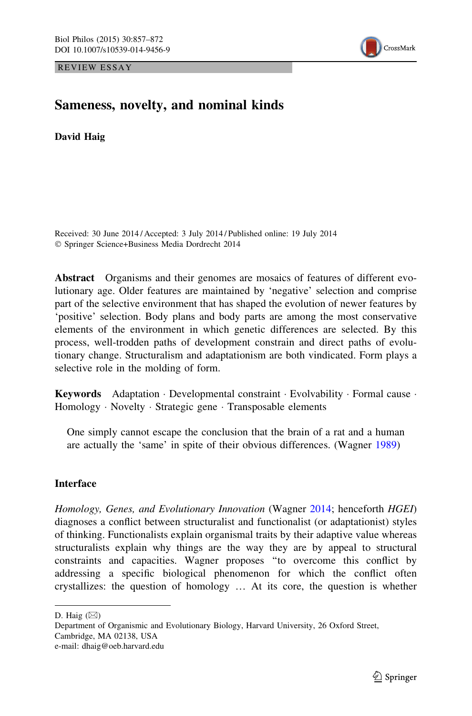REVIEW ESSAY



# Sameness, novelty, and nominal kinds

David Haig

Received: 30 June 2014 / Accepted: 3 July 2014 / Published online: 19 July 2014 - Springer Science+Business Media Dordrecht 2014

Abstract Organisms and their genomes are mosaics of features of different evolutionary age. Older features are maintained by 'negative' selection and comprise part of the selective environment that has shaped the evolution of newer features by 'positive' selection. Body plans and body parts are among the most conservative elements of the environment in which genetic differences are selected. By this process, well-trodden paths of development constrain and direct paths of evolutionary change. Structuralism and adaptationism are both vindicated. Form plays a selective role in the molding of form.

Keywords Adaptation · Developmental constraint · Evolvability · Formal cause · Homology - Novelty - Strategic gene - Transposable elements

One simply cannot escape the conclusion that the brain of a rat and a human are actually the 'same' in spite of their obvious differences. (Wagner [1989\)](#page-15-0)

## Interface

Homology, Genes, and Evolutionary Innovation (Wagner [2014;](#page-15-0) henceforth HGEI) diagnoses a conflict between structuralist and functionalist (or adaptationist) styles of thinking. Functionalists explain organismal traits by their adaptive value whereas structuralists explain why things are the way they are by appeal to structural constraints and capacities. Wagner proposes ''to overcome this conflict by addressing a specific biological phenomenon for which the conflict often crystallizes: the question of homology … At its core, the question is whether

D. Haig  $(\boxtimes)$ 

Department of Organismic and Evolutionary Biology, Harvard University, 26 Oxford Street, Cambridge, MA 02138, USA e-mail: dhaig@oeb.harvard.edu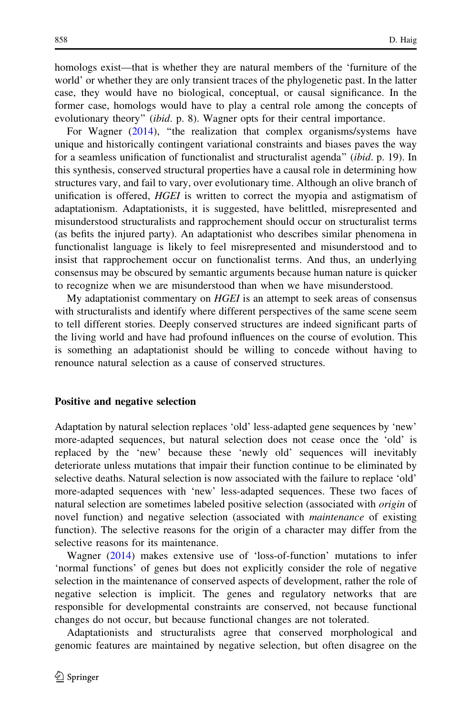homologs exist—that is whether they are natural members of the 'furniture of the world' or whether they are only transient traces of the phylogenetic past. In the latter case, they would have no biological, conceptual, or causal significance. In the former case, homologs would have to play a central role among the concepts of evolutionary theory" (ibid. p. 8). Wagner opts for their central importance.

For Wagner  $(2014)$  $(2014)$ , "the realization that complex organisms/systems have unique and historically contingent variational constraints and biases paves the way for a seamless unification of functionalist and structuralist agenda'' (ibid. p. 19). In this synthesis, conserved structural properties have a causal role in determining how structures vary, and fail to vary, over evolutionary time. Although an olive branch of unification is offered, *HGEI* is written to correct the myopia and astigmatism of adaptationism. Adaptationists, it is suggested, have belittled, misrepresented and misunderstood structuralists and rapprochement should occur on structuralist terms (as befits the injured party). An adaptationist who describes similar phenomena in functionalist language is likely to feel misrepresented and misunderstood and to insist that rapprochement occur on functionalist terms. And thus, an underlying consensus may be obscured by semantic arguments because human nature is quicker to recognize when we are misunderstood than when we have misunderstood.

My adaptationist commentary on *HGEI* is an attempt to seek areas of consensus with structuralists and identify where different perspectives of the same scene seem to tell different stories. Deeply conserved structures are indeed significant parts of the living world and have had profound influences on the course of evolution. This is something an adaptationist should be willing to concede without having to renounce natural selection as a cause of conserved structures.

### Positive and negative selection

Adaptation by natural selection replaces 'old' less-adapted gene sequences by 'new' more-adapted sequences, but natural selection does not cease once the 'old' is replaced by the 'new' because these 'newly old' sequences will inevitably deteriorate unless mutations that impair their function continue to be eliminated by selective deaths. Natural selection is now associated with the failure to replace 'old' more-adapted sequences with 'new' less-adapted sequences. These two faces of natural selection are sometimes labeled positive selection (associated with origin of novel function) and negative selection (associated with *maintenance* of existing function). The selective reasons for the origin of a character may differ from the selective reasons for its maintenance.

Wagner ([2014](#page-15-0)) makes extensive use of 'loss-of-function' mutations to infer 'normal functions' of genes but does not explicitly consider the role of negative selection in the maintenance of conserved aspects of development, rather the role of negative selection is implicit. The genes and regulatory networks that are responsible for developmental constraints are conserved, not because functional changes do not occur, but because functional changes are not tolerated.

Adaptationists and structuralists agree that conserved morphological and genomic features are maintained by negative selection, but often disagree on the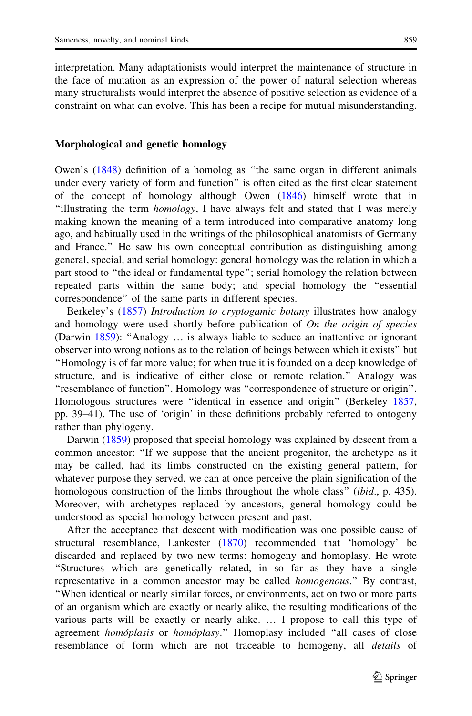interpretation. Many adaptationists would interpret the maintenance of structure in the face of mutation as an expression of the power of natural selection whereas many structuralists would interpret the absence of positive selection as evidence of a constraint on what can evolve. This has been a recipe for mutual misunderstanding.

#### Morphological and genetic homology

Owen's ([1848](#page-15-0)) definition of a homolog as ''the same organ in different animals under every variety of form and function'' is often cited as the first clear statement of the concept of homology although Owen ([1846\)](#page-15-0) himself wrote that in ''illustrating the term homology, I have always felt and stated that I was merely making known the meaning of a term introduced into comparative anatomy long ago, and habitually used in the writings of the philosophical anatomists of Germany and France.'' He saw his own conceptual contribution as distinguishing among general, special, and serial homology: general homology was the relation in which a part stood to ''the ideal or fundamental type''; serial homology the relation between repeated parts within the same body; and special homology the ''essential correspondence'' of the same parts in different species.

Berkeley's [\(1857](#page-13-0)) *Introduction to cryptogamic botany* illustrates how analogy and homology were used shortly before publication of On the origin of species (Darwin [1859\)](#page-14-0): ''Analogy … is always liable to seduce an inattentive or ignorant observer into wrong notions as to the relation of beings between which it exists'' but ''Homology is of far more value; for when true it is founded on a deep knowledge of structure, and is indicative of either close or remote relation.'' Analogy was ''resemblance of function''. Homology was ''correspondence of structure or origin''. Homologous structures were ''identical in essence and origin'' (Berkeley [1857,](#page-13-0) pp. 39–41). The use of 'origin' in these definitions probably referred to ontogeny rather than phylogeny.

Darwin [\(1859](#page-14-0)) proposed that special homology was explained by descent from a common ancestor: ''If we suppose that the ancient progenitor, the archetype as it may be called, had its limbs constructed on the existing general pattern, for whatever purpose they served, we can at once perceive the plain signification of the homologous construction of the limbs throughout the whole class" (ibid., p. 435). Moreover, with archetypes replaced by ancestors, general homology could be understood as special homology between present and past.

After the acceptance that descent with modification was one possible cause of structural resemblance, Lankester ([1870\)](#page-14-0) recommended that 'homology' be discarded and replaced by two new terms: homogeny and homoplasy. He wrote ''Structures which are genetically related, in so far as they have a single representative in a common ancestor may be called homogenous.'' By contrast, ''When identical or nearly similar forces, or environments, act on two or more parts of an organism which are exactly or nearly alike, the resulting modifications of the various parts will be exactly or nearly alike. … I propose to call this type of agreement homóplasis or homóplasy." Homoplasy included "all cases of close resemblance of form which are not traceable to homogeny, all *details* of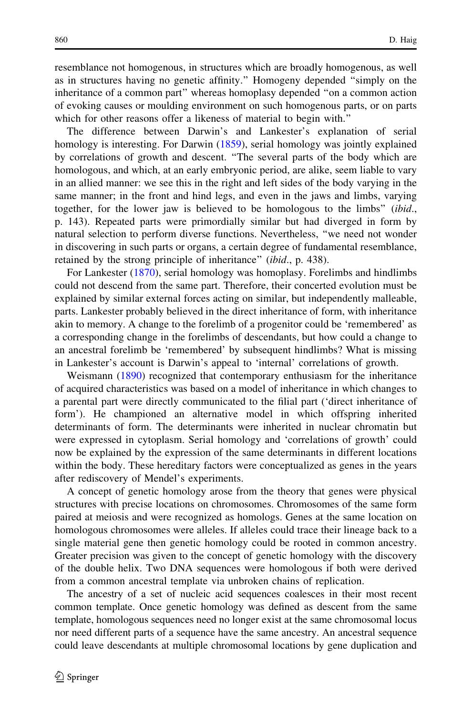resemblance not homogenous, in structures which are broadly homogenous, as well as in structures having no genetic affinity.'' Homogeny depended ''simply on the inheritance of a common part'' whereas homoplasy depended ''on a common action of evoking causes or moulding environment on such homogenous parts, or on parts which for other reasons offer a likeness of material to begin with."

The difference between Darwin's and Lankester's explanation of serial homology is interesting. For Darwin ([1859\)](#page-14-0), serial homology was jointly explained by correlations of growth and descent. ''The several parts of the body which are homologous, and which, at an early embryonic period, are alike, seem liable to vary in an allied manner: we see this in the right and left sides of the body varying in the same manner; in the front and hind legs, and even in the jaws and limbs, varying together, for the lower jaw is believed to be homologous to the limbs'' (ibid., p. 143). Repeated parts were primordially similar but had diverged in form by natural selection to perform diverse functions. Nevertheless, ''we need not wonder in discovering in such parts or organs, a certain degree of fundamental resemblance, retained by the strong principle of inheritance'' (ibid., p. 438).

For Lankester [\(1870](#page-14-0)), serial homology was homoplasy. Forelimbs and hindlimbs could not descend from the same part. Therefore, their concerted evolution must be explained by similar external forces acting on similar, but independently malleable, parts. Lankester probably believed in the direct inheritance of form, with inheritance akin to memory. A change to the forelimb of a progenitor could be 'remembered' as a corresponding change in the forelimbs of descendants, but how could a change to an ancestral forelimb be 'remembered' by subsequent hindlimbs? What is missing in Lankester's account is Darwin's appeal to 'internal' correlations of growth.

Weismann [\(1890](#page-15-0)) recognized that contemporary enthusiasm for the inheritance of acquired characteristics was based on a model of inheritance in which changes to a parental part were directly communicated to the filial part ('direct inheritance of form'). He championed an alternative model in which offspring inherited determinants of form. The determinants were inherited in nuclear chromatin but were expressed in cytoplasm. Serial homology and 'correlations of growth' could now be explained by the expression of the same determinants in different locations within the body. These hereditary factors were conceptualized as genes in the years after rediscovery of Mendel's experiments.

A concept of genetic homology arose from the theory that genes were physical structures with precise locations on chromosomes. Chromosomes of the same form paired at meiosis and were recognized as homologs. Genes at the same location on homologous chromosomes were alleles. If alleles could trace their lineage back to a single material gene then genetic homology could be rooted in common ancestry. Greater precision was given to the concept of genetic homology with the discovery of the double helix. Two DNA sequences were homologous if both were derived from a common ancestral template via unbroken chains of replication.

The ancestry of a set of nucleic acid sequences coalesces in their most recent common template. Once genetic homology was defined as descent from the same template, homologous sequences need no longer exist at the same chromosomal locus nor need different parts of a sequence have the same ancestry. An ancestral sequence could leave descendants at multiple chromosomal locations by gene duplication and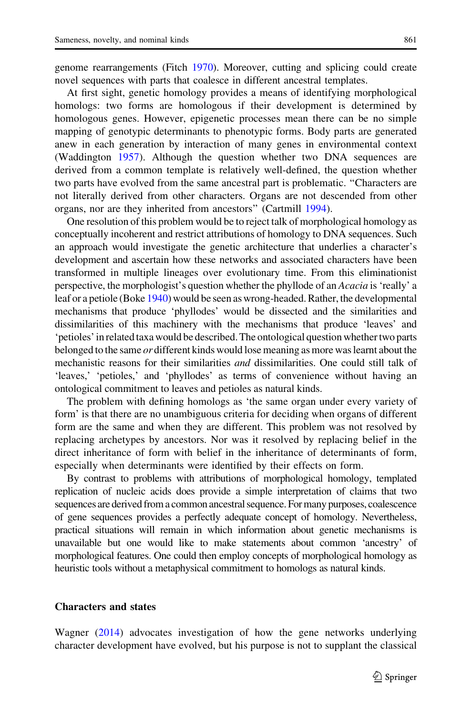genome rearrangements (Fitch [1970](#page-14-0)). Moreover, cutting and splicing could create novel sequences with parts that coalesce in different ancestral templates.

At first sight, genetic homology provides a means of identifying morphological homologs: two forms are homologous if their development is determined by homologous genes. However, epigenetic processes mean there can be no simple mapping of genotypic determinants to phenotypic forms. Body parts are generated anew in each generation by interaction of many genes in environmental context (Waddington [1957\)](#page-15-0). Although the question whether two DNA sequences are derived from a common template is relatively well-defined, the question whether two parts have evolved from the same ancestral part is problematic. ''Characters are not literally derived from other characters. Organs are not descended from other organs, nor are they inherited from ancestors'' (Cartmill [1994](#page-14-0)).

One resolution of this problem would be to reject talk of morphological homology as conceptually incoherent and restrict attributions of homology to DNA sequences. Such an approach would investigate the genetic architecture that underlies a character's development and ascertain how these networks and associated characters have been transformed in multiple lineages over evolutionary time. From this eliminationist perspective, the morphologist's question whether the phyllode of an Acacia is 'really' a leaf or a petiole (Boke [1940](#page-14-0)) would be seen as wrong-headed. Rather, the developmental mechanisms that produce 'phyllodes' would be dissected and the similarities and dissimilarities of this machinery with the mechanisms that produce 'leaves' and 'petioles' in related taxa would be described. The ontological question whether two parts belonged to the same or different kinds would lose meaning as more was learnt about the mechanistic reasons for their similarities and dissimilarities. One could still talk of 'leaves,' 'petioles,' and 'phyllodes' as terms of convenience without having an ontological commitment to leaves and petioles as natural kinds.

The problem with defining homologs as 'the same organ under every variety of form' is that there are no unambiguous criteria for deciding when organs of different form are the same and when they are different. This problem was not resolved by replacing archetypes by ancestors. Nor was it resolved by replacing belief in the direct inheritance of form with belief in the inheritance of determinants of form, especially when determinants were identified by their effects on form.

By contrast to problems with attributions of morphological homology, templated replication of nucleic acids does provide a simple interpretation of claims that two sequences are derived from a common ancestral sequence. For many purposes, coalescence of gene sequences provides a perfectly adequate concept of homology. Nevertheless, practical situations will remain in which information about genetic mechanisms is unavailable but one would like to make statements about common 'ancestry' of morphological features. One could then employ concepts of morphological homology as heuristic tools without a metaphysical commitment to homologs as natural kinds.

## Characters and states

Wagner ([2014\)](#page-15-0) advocates investigation of how the gene networks underlying character development have evolved, but his purpose is not to supplant the classical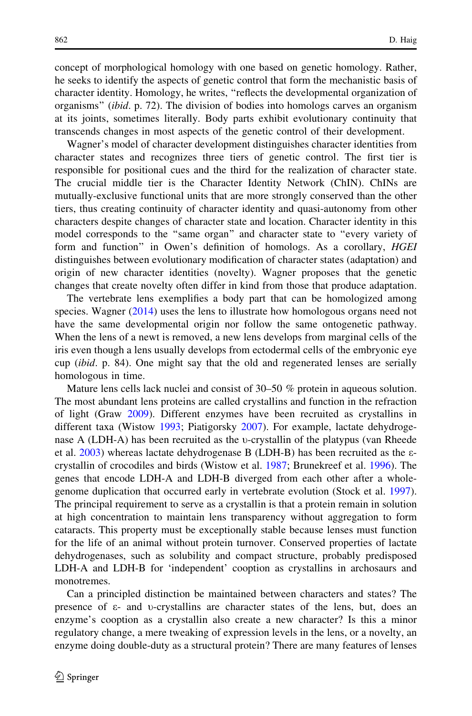concept of morphological homology with one based on genetic homology. Rather, he seeks to identify the aspects of genetic control that form the mechanistic basis of character identity. Homology, he writes, ''reflects the developmental organization of organisms'' (ibid. p. 72). The division of bodies into homologs carves an organism at its joints, sometimes literally. Body parts exhibit evolutionary continuity that transcends changes in most aspects of the genetic control of their development.

Wagner's model of character development distinguishes character identities from character states and recognizes three tiers of genetic control. The first tier is responsible for positional cues and the third for the realization of character state. The crucial middle tier is the Character Identity Network (ChIN). ChINs are mutually-exclusive functional units that are more strongly conserved than the other tiers, thus creating continuity of character identity and quasi-autonomy from other characters despite changes of character state and location. Character identity in this model corresponds to the "same organ" and character state to "every variety of form and function'' in Owen's definition of homologs. As a corollary, HGEI distinguishes between evolutionary modification of character states (adaptation) and origin of new character identities (novelty). Wagner proposes that the genetic changes that create novelty often differ in kind from those that produce adaptation.

The vertebrate lens exemplifies a body part that can be homologized among species. Wagner [\(2014](#page-15-0)) uses the lens to illustrate how homologous organs need not have the same developmental origin nor follow the same ontogenetic pathway. When the lens of a newt is removed, a new lens develops from marginal cells of the iris even though a lens usually develops from ectodermal cells of the embryonic eye cup (ibid. p. 84). One might say that the old and regenerated lenses are serially homologous in time.

Mature lens cells lack nuclei and consist of 30–50 % protein in aqueous solution. The most abundant lens proteins are called crystallins and function in the refraction of light (Graw [2009\)](#page-14-0). Different enzymes have been recruited as crystallins in different taxa (Wistow [1993](#page-15-0); Piatigorsky [2007\)](#page-15-0). For example, lactate dehydrogenase A (LDH-A) has been recruited as the  $v$ -crystallin of the platypus (van Rheede et al. [2003\)](#page-15-0) whereas lactate dehydrogenase B (LDH-B) has been recruited as the ecrystallin of crocodiles and birds (Wistow et al. [1987](#page-15-0); Brunekreef et al. [1996\)](#page-14-0). The genes that encode LDH-A and LDH-B diverged from each other after a wholegenome duplication that occurred early in vertebrate evolution (Stock et al. [1997\)](#page-15-0). The principal requirement to serve as a crystallin is that a protein remain in solution at high concentration to maintain lens transparency without aggregation to form cataracts. This property must be exceptionally stable because lenses must function for the life of an animal without protein turnover. Conserved properties of lactate dehydrogenases, such as solubility and compact structure, probably predisposed LDH-A and LDH-B for 'independent' cooption as crystallins in archosaurs and monotremes.

Can a principled distinction be maintained between characters and states? The presence of  $\varepsilon$ - and v-crystallins are character states of the lens, but, does an enzyme's cooption as a crystallin also create a new character? Is this a minor regulatory change, a mere tweaking of expression levels in the lens, or a novelty, an enzyme doing double-duty as a structural protein? There are many features of lenses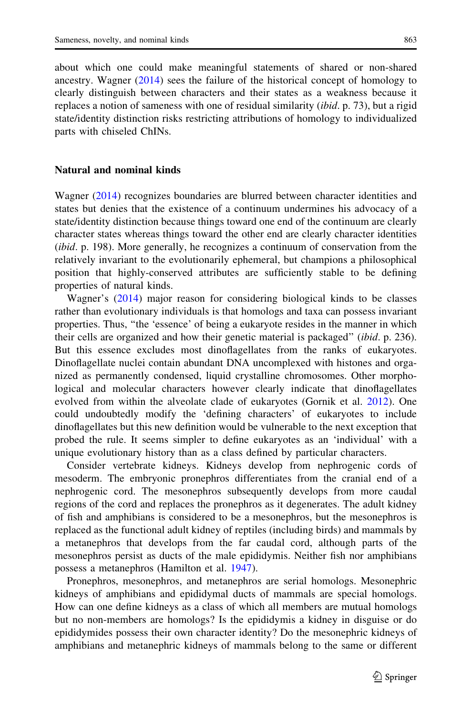about which one could make meaningful statements of shared or non-shared ancestry. Wagner ([2014\)](#page-15-0) sees the failure of the historical concept of homology to clearly distinguish between characters and their states as a weakness because it replaces a notion of sameness with one of residual similarity (ibid. p. 73), but a rigid state/identity distinction risks restricting attributions of homology to individualized parts with chiseled ChINs.

## Natural and nominal kinds

Wagner [\(2014](#page-15-0)) recognizes boundaries are blurred between character identities and states but denies that the existence of a continuum undermines his advocacy of a state/identity distinction because things toward one end of the continuum are clearly character states whereas things toward the other end are clearly character identities (ibid. p. 198). More generally, he recognizes a continuum of conservation from the relatively invariant to the evolutionarily ephemeral, but champions a philosophical position that highly-conserved attributes are sufficiently stable to be defining properties of natural kinds.

Wagner's [\(2014](#page-15-0)) major reason for considering biological kinds to be classes rather than evolutionary individuals is that homologs and taxa can possess invariant properties. Thus, ''the 'essence' of being a eukaryote resides in the manner in which their cells are organized and how their genetic material is packaged'' (ibid. p. 236). But this essence excludes most dinoflagellates from the ranks of eukaryotes. Dinoflagellate nuclei contain abundant DNA uncomplexed with histones and organized as permanently condensed, liquid crystalline chromosomes. Other morphological and molecular characters however clearly indicate that dinoflagellates evolved from within the alveolate clade of eukaryotes (Gornik et al. [2012\)](#page-14-0). One could undoubtedly modify the 'defining characters' of eukaryotes to include dinoflagellates but this new definition would be vulnerable to the next exception that probed the rule. It seems simpler to define eukaryotes as an 'individual' with a unique evolutionary history than as a class defined by particular characters.

Consider vertebrate kidneys. Kidneys develop from nephrogenic cords of mesoderm. The embryonic pronephros differentiates from the cranial end of a nephrogenic cord. The mesonephros subsequently develops from more caudal regions of the cord and replaces the pronephros as it degenerates. The adult kidney of fish and amphibians is considered to be a mesonephros, but the mesonephros is replaced as the functional adult kidney of reptiles (including birds) and mammals by a metanephros that develops from the far caudal cord, although parts of the mesonephros persist as ducts of the male epididymis. Neither fish nor amphibians possess a metanephros (Hamilton et al. [1947\)](#page-14-0).

Pronephros, mesonephros, and metanephros are serial homologs. Mesonephric kidneys of amphibians and epididymal ducts of mammals are special homologs. How can one define kidneys as a class of which all members are mutual homologs but no non-members are homologs? Is the epididymis a kidney in disguise or do epididymides possess their own character identity? Do the mesonephric kidneys of amphibians and metanephric kidneys of mammals belong to the same or different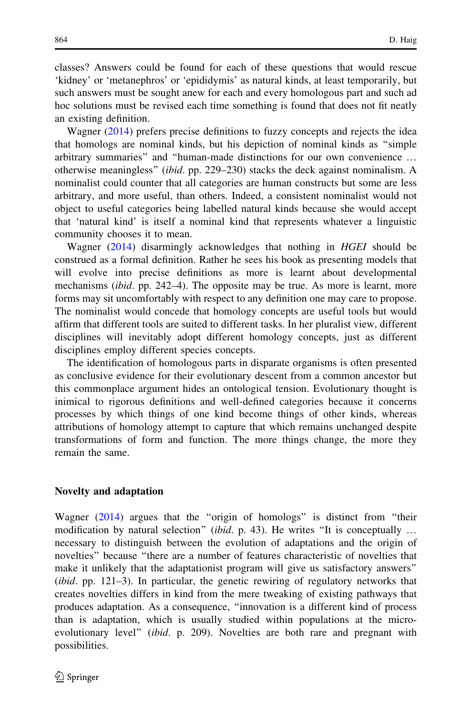classes? Answers could be found for each of these questions that would rescue 'kidney' or 'metanephros' or 'epididymis' as natural kinds, at least temporarily, but such answers must be sought anew for each and every homologous part and such ad hoc solutions must be revised each time something is found that does not fit neatly an existing definition.

Wagner ([2014\)](#page-15-0) prefers precise definitions to fuzzy concepts and rejects the idea that homologs are nominal kinds, but his depiction of nominal kinds as ''simple arbitrary summaries'' and ''human-made distinctions for our own convenience … otherwise meaningless'' (ibid. pp. 229–230) stacks the deck against nominalism. A nominalist could counter that all categories are human constructs but some are less arbitrary, and more useful, than others. Indeed, a consistent nominalist would not object to useful categories being labelled natural kinds because she would accept that 'natural kind' is itself a nominal kind that represents whatever a linguistic community chooses it to mean.

Wagner ([2014\)](#page-15-0) disarmingly acknowledges that nothing in *HGEI* should be construed as a formal definition. Rather he sees his book as presenting models that will evolve into precise definitions as more is learnt about developmental mechanisms *(ibid.* pp. 242–4). The opposite may be true. As more is learnt, more forms may sit uncomfortably with respect to any definition one may care to propose. The nominalist would concede that homology concepts are useful tools but would affirm that different tools are suited to different tasks. In her pluralist view, different disciplines will inevitably adopt different homology concepts, just as different disciplines employ different species concepts.

The identification of homologous parts in disparate organisms is often presented as conclusive evidence for their evolutionary descent from a common ancestor but this commonplace argument hides an ontological tension. Evolutionary thought is inimical to rigorous definitions and well-defined categories because it concerns processes by which things of one kind become things of other kinds, whereas attributions of homology attempt to capture that which remains unchanged despite transformations of form and function. The more things change, the more they remain the same.

#### Novelty and adaptation

Wagner ([2014\)](#page-15-0) argues that the ''origin of homologs'' is distinct from ''their modification by natural selection" *(ibid. p. 43)*. He writes "It is conceptually ... necessary to distinguish between the evolution of adaptations and the origin of novelties'' because ''there are a number of features characteristic of novelties that make it unlikely that the adaptationist program will give us satisfactory answers'' (ibid. pp. 121–3). In particular, the genetic rewiring of regulatory networks that creates novelties differs in kind from the mere tweaking of existing pathways that produces adaptation. As a consequence, ''innovation is a different kind of process than is adaptation, which is usually studied within populations at the microevolutionary level'' (ibid. p. 209). Novelties are both rare and pregnant with possibilities.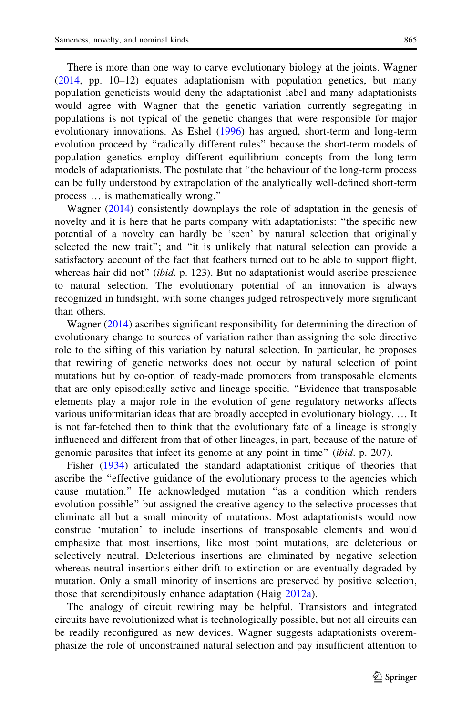There is more than one way to carve evolutionary biology at the joints. Wagner [\(2014](#page-15-0), pp. 10–12) equates adaptationism with population genetics, but many population geneticists would deny the adaptationist label and many adaptationists would agree with Wagner that the genetic variation currently segregating in populations is not typical of the genetic changes that were responsible for major evolutionary innovations. As Eshel ([1996\)](#page-14-0) has argued, short-term and long-term evolution proceed by ''radically different rules'' because the short-term models of population genetics employ different equilibrium concepts from the long-term models of adaptationists. The postulate that ''the behaviour of the long-term process can be fully understood by extrapolation of the analytically well-defined short-term process … is mathematically wrong.''

Wagner [\(2014](#page-15-0)) consistently downplays the role of adaptation in the genesis of novelty and it is here that he parts company with adaptationists: ''the specific new potential of a novelty can hardly be 'seen' by natural selection that originally selected the new trait''; and ''it is unlikely that natural selection can provide a satisfactory account of the fact that feathers turned out to be able to support flight, whereas hair did not" *(ibid. p. 123)*. But no adaptationist would ascribe prescience to natural selection. The evolutionary potential of an innovation is always recognized in hindsight, with some changes judged retrospectively more significant than others.

Wagner ([2014\)](#page-15-0) ascribes significant responsibility for determining the direction of evolutionary change to sources of variation rather than assigning the sole directive role to the sifting of this variation by natural selection. In particular, he proposes that rewiring of genetic networks does not occur by natural selection of point mutations but by co-option of ready-made promoters from transposable elements that are only episodically active and lineage specific. ''Evidence that transposable elements play a major role in the evolution of gene regulatory networks affects various uniformitarian ideas that are broadly accepted in evolutionary biology. … It is not far-fetched then to think that the evolutionary fate of a lineage is strongly influenced and different from that of other lineages, in part, because of the nature of genomic parasites that infect its genome at any point in time'' (ibid. p. 207).

Fisher [\(1934](#page-14-0)) articulated the standard adaptationist critique of theories that ascribe the ''effective guidance of the evolutionary process to the agencies which cause mutation.'' He acknowledged mutation ''as a condition which renders evolution possible'' but assigned the creative agency to the selective processes that eliminate all but a small minority of mutations. Most adaptationists would now construe 'mutation' to include insertions of transposable elements and would emphasize that most insertions, like most point mutations, are deleterious or selectively neutral. Deleterious insertions are eliminated by negative selection whereas neutral insertions either drift to extinction or are eventually degraded by mutation. Only a small minority of insertions are preserved by positive selection, those that serendipitously enhance adaptation (Haig [2012a](#page-14-0)).

The analogy of circuit rewiring may be helpful. Transistors and integrated circuits have revolutionized what is technologically possible, but not all circuits can be readily reconfigured as new devices. Wagner suggests adaptationists overemphasize the role of unconstrained natural selection and pay insufficient attention to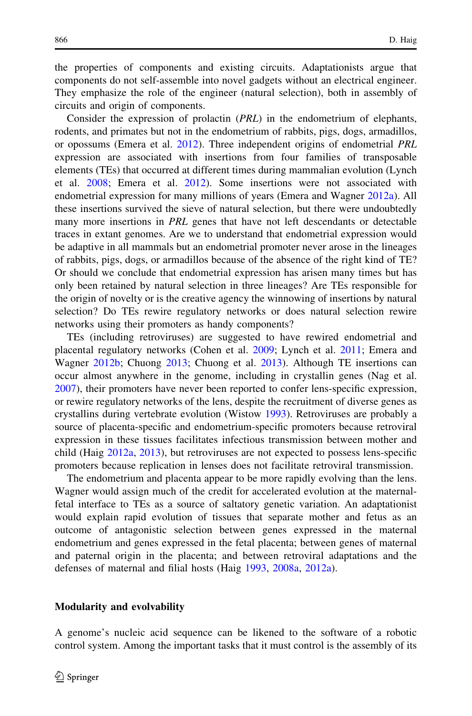the properties of components and existing circuits. Adaptationists argue that components do not self-assemble into novel gadgets without an electrical engineer. They emphasize the role of the engineer (natural selection), both in assembly of circuits and origin of components.

Consider the expression of prolactin (PRL) in the endometrium of elephants, rodents, and primates but not in the endometrium of rabbits, pigs, dogs, armadillos, or opossums (Emera et al. [2012\)](#page-14-0). Three independent origins of endometrial PRL expression are associated with insertions from four families of transposable elements (TEs) that occurred at different times during mammalian evolution (Lynch et al. [2008;](#page-14-0) Emera et al. [2012\)](#page-14-0). Some insertions were not associated with endometrial expression for many millions of years (Emera and Wagner [2012a\)](#page-14-0). All these insertions survived the sieve of natural selection, but there were undoubtedly many more insertions in PRL genes that have not left descendants or detectable traces in extant genomes. Are we to understand that endometrial expression would be adaptive in all mammals but an endometrial promoter never arose in the lineages of rabbits, pigs, dogs, or armadillos because of the absence of the right kind of TE? Or should we conclude that endometrial expression has arisen many times but has only been retained by natural selection in three lineages? Are TEs responsible for the origin of novelty or is the creative agency the winnowing of insertions by natural selection? Do TEs rewire regulatory networks or does natural selection rewire networks using their promoters as handy components?

TEs (including retroviruses) are suggested to have rewired endometrial and placental regulatory networks (Cohen et al. [2009;](#page-14-0) Lynch et al. [2011;](#page-14-0) Emera and Wagner [2012b;](#page-14-0) Chuong [2013;](#page-14-0) Chuong et al. [2013\)](#page-14-0). Although TE insertions can occur almost anywhere in the genome, including in crystallin genes (Nag et al. [2007\)](#page-14-0), their promoters have never been reported to confer lens-specific expression, or rewire regulatory networks of the lens, despite the recruitment of diverse genes as crystallins during vertebrate evolution (Wistow [1993\)](#page-15-0). Retroviruses are probably a source of placenta-specific and endometrium-specific promoters because retroviral expression in these tissues facilitates infectious transmission between mother and child (Haig [2012a](#page-14-0), [2013\)](#page-14-0), but retroviruses are not expected to possess lens-specific promoters because replication in lenses does not facilitate retroviral transmission.

The endometrium and placenta appear to be more rapidly evolving than the lens. Wagner would assign much of the credit for accelerated evolution at the maternalfetal interface to TEs as a source of saltatory genetic variation. An adaptationist would explain rapid evolution of tissues that separate mother and fetus as an outcome of antagonistic selection between genes expressed in the maternal endometrium and genes expressed in the fetal placenta; between genes of maternal and paternal origin in the placenta; and between retroviral adaptations and the defenses of maternal and filial hosts (Haig [1993](#page-14-0), [2008a](#page-14-0), [2012a\)](#page-14-0).

#### Modularity and evolvability

A genome's nucleic acid sequence can be likened to the software of a robotic control system. Among the important tasks that it must control is the assembly of its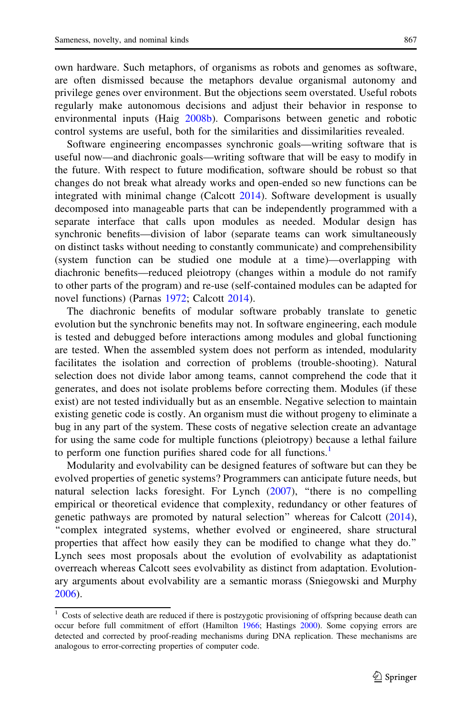own hardware. Such metaphors, of organisms as robots and genomes as software, are often dismissed because the metaphors devalue organismal autonomy and privilege genes over environment. But the objections seem overstated. Useful robots regularly make autonomous decisions and adjust their behavior in response to environmental inputs (Haig [2008b](#page-14-0)). Comparisons between genetic and robotic control systems are useful, both for the similarities and dissimilarities revealed.

Software engineering encompasses synchronic goals—writing software that is useful now—and diachronic goals—writing software that will be easy to modify in the future. With respect to future modification, software should be robust so that changes do not break what already works and open-ended so new functions can be integrated with minimal change (Calcott [2014](#page-14-0)). Software development is usually decomposed into manageable parts that can be independently programmed with a separate interface that calls upon modules as needed. Modular design has synchronic benefits—division of labor (separate teams can work simultaneously on distinct tasks without needing to constantly communicate) and comprehensibility (system function can be studied one module at a time)—overlapping with diachronic benefits—reduced pleiotropy (changes within a module do not ramify to other parts of the program) and re-use (self-contained modules can be adapted for novel functions) (Parnas [1972;](#page-15-0) Calcott [2014](#page-14-0)).

The diachronic benefits of modular software probably translate to genetic evolution but the synchronic benefits may not. In software engineering, each module is tested and debugged before interactions among modules and global functioning are tested. When the assembled system does not perform as intended, modularity facilitates the isolation and correction of problems (trouble-shooting). Natural selection does not divide labor among teams, cannot comprehend the code that it generates, and does not isolate problems before correcting them. Modules (if these exist) are not tested individually but as an ensemble. Negative selection to maintain existing genetic code is costly. An organism must die without progeny to eliminate a bug in any part of the system. These costs of negative selection create an advantage for using the same code for multiple functions (pleiotropy) because a lethal failure to perform one function purifies shared code for all functions.<sup>1</sup>

Modularity and evolvability can be designed features of software but can they be evolved properties of genetic systems? Programmers can anticipate future needs, but natural selection lacks foresight. For Lynch [\(2007](#page-14-0)), "there is no compelling empirical or theoretical evidence that complexity, redundancy or other features of genetic pathways are promoted by natural selection'' whereas for Calcott ([2014\)](#page-14-0), ''complex integrated systems, whether evolved or engineered, share structural properties that affect how easily they can be modified to change what they do.'' Lynch sees most proposals about the evolution of evolvability as adaptationist overreach whereas Calcott sees evolvability as distinct from adaptation. Evolutionary arguments about evolvability are a semantic morass (Sniegowski and Murphy [2006\)](#page-15-0).

 $1$  Costs of selective death are reduced if there is postzygotic provisioning of offspring because death can occur before full commitment of effort (Hamilton [1966;](#page-14-0) Hastings [2000\)](#page-14-0). Some copying errors are detected and corrected by proof-reading mechanisms during DNA replication. These mechanisms are analogous to error-correcting properties of computer code.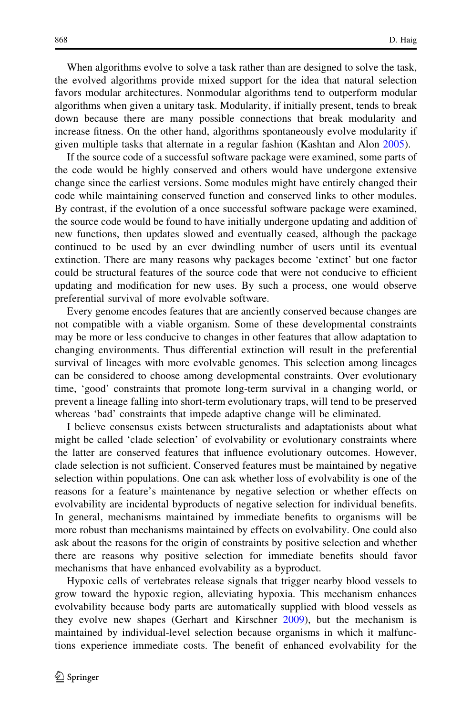When algorithms evolve to solve a task rather than are designed to solve the task, the evolved algorithms provide mixed support for the idea that natural selection favors modular architectures. Nonmodular algorithms tend to outperform modular algorithms when given a unitary task. Modularity, if initially present, tends to break down because there are many possible connections that break modularity and increase fitness. On the other hand, algorithms spontaneously evolve modularity if given multiple tasks that alternate in a regular fashion (Kashtan and Alon [2005\)](#page-14-0).

If the source code of a successful software package were examined, some parts of the code would be highly conserved and others would have undergone extensive change since the earliest versions. Some modules might have entirely changed their code while maintaining conserved function and conserved links to other modules. By contrast, if the evolution of a once successful software package were examined, the source code would be found to have initially undergone updating and addition of new functions, then updates slowed and eventually ceased, although the package continued to be used by an ever dwindling number of users until its eventual extinction. There are many reasons why packages become 'extinct' but one factor could be structural features of the source code that were not conducive to efficient updating and modification for new uses. By such a process, one would observe preferential survival of more evolvable software.

Every genome encodes features that are anciently conserved because changes are not compatible with a viable organism. Some of these developmental constraints may be more or less conducive to changes in other features that allow adaptation to changing environments. Thus differential extinction will result in the preferential survival of lineages with more evolvable genomes. This selection among lineages can be considered to choose among developmental constraints. Over evolutionary time, 'good' constraints that promote long-term survival in a changing world, or prevent a lineage falling into short-term evolutionary traps, will tend to be preserved whereas 'bad' constraints that impede adaptive change will be eliminated.

I believe consensus exists between structuralists and adaptationists about what might be called 'clade selection' of evolvability or evolutionary constraints where the latter are conserved features that influence evolutionary outcomes. However, clade selection is not sufficient. Conserved features must be maintained by negative selection within populations. One can ask whether loss of evolvability is one of the reasons for a feature's maintenance by negative selection or whether effects on evolvability are incidental byproducts of negative selection for individual benefits. In general, mechanisms maintained by immediate benefits to organisms will be more robust than mechanisms maintained by effects on evolvability. One could also ask about the reasons for the origin of constraints by positive selection and whether there are reasons why positive selection for immediate benefits should favor mechanisms that have enhanced evolvability as a byproduct.

Hypoxic cells of vertebrates release signals that trigger nearby blood vessels to grow toward the hypoxic region, alleviating hypoxia. This mechanism enhances evolvability because body parts are automatically supplied with blood vessels as they evolve new shapes (Gerhart and Kirschner [2009\)](#page-14-0), but the mechanism is maintained by individual-level selection because organisms in which it malfunctions experience immediate costs. The benefit of enhanced evolvability for the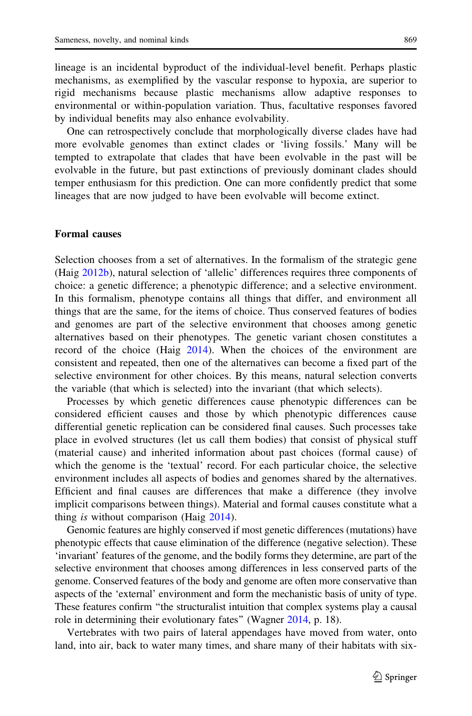lineage is an incidental byproduct of the individual-level benefit. Perhaps plastic mechanisms, as exemplified by the vascular response to hypoxia, are superior to rigid mechanisms because plastic mechanisms allow adaptive responses to environmental or within-population variation. Thus, facultative responses favored by individual benefits may also enhance evolvability.

One can retrospectively conclude that morphologically diverse clades have had more evolvable genomes than extinct clades or 'living fossils.' Many will be tempted to extrapolate that clades that have been evolvable in the past will be evolvable in the future, but past extinctions of previously dominant clades should temper enthusiasm for this prediction. One can more confidently predict that some lineages that are now judged to have been evolvable will become extinct.

## Formal causes

Selection chooses from a set of alternatives. In the formalism of the strategic gene (Haig [2012b](#page-14-0)), natural selection of 'allelic' differences requires three components of choice: a genetic difference; a phenotypic difference; and a selective environment. In this formalism, phenotype contains all things that differ, and environment all things that are the same, for the items of choice. Thus conserved features of bodies and genomes are part of the selective environment that chooses among genetic alternatives based on their phenotypes. The genetic variant chosen constitutes a record of the choice (Haig [2014\)](#page-14-0). When the choices of the environment are consistent and repeated, then one of the alternatives can become a fixed part of the selective environment for other choices. By this means, natural selection converts the variable (that which is selected) into the invariant (that which selects).

Processes by which genetic differences cause phenotypic differences can be considered efficient causes and those by which phenotypic differences cause differential genetic replication can be considered final causes. Such processes take place in evolved structures (let us call them bodies) that consist of physical stuff (material cause) and inherited information about past choices (formal cause) of which the genome is the 'textual' record. For each particular choice, the selective environment includes all aspects of bodies and genomes shared by the alternatives. Efficient and final causes are differences that make a difference (they involve implicit comparisons between things). Material and formal causes constitute what a thing *is* without comparison (Haig [2014\)](#page-14-0).

Genomic features are highly conserved if most genetic differences (mutations) have phenotypic effects that cause elimination of the difference (negative selection). These 'invariant' features of the genome, and the bodily forms they determine, are part of the selective environment that chooses among differences in less conserved parts of the genome. Conserved features of the body and genome are often more conservative than aspects of the 'external' environment and form the mechanistic basis of unity of type. These features confirm ''the structuralist intuition that complex systems play a causal role in determining their evolutionary fates" (Wagner [2014](#page-15-0), p. 18).

Vertebrates with two pairs of lateral appendages have moved from water, onto land, into air, back to water many times, and share many of their habitats with six-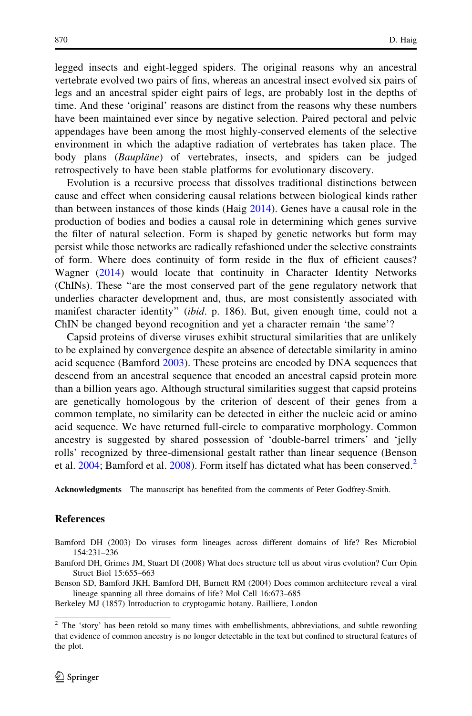<span id="page-13-0"></span>legged insects and eight-legged spiders. The original reasons why an ancestral vertebrate evolved two pairs of fins, whereas an ancestral insect evolved six pairs of legs and an ancestral spider eight pairs of legs, are probably lost in the depths of time. And these 'original' reasons are distinct from the reasons why these numbers have been maintained ever since by negative selection. Paired pectoral and pelvic appendages have been among the most highly-conserved elements of the selective environment in which the adaptive radiation of vertebrates has taken place. The body plans (Baupläne) of vertebrates, insects, and spiders can be judged retrospectively to have been stable platforms for evolutionary discovery.

Evolution is a recursive process that dissolves traditional distinctions between cause and effect when considering causal relations between biological kinds rather than between instances of those kinds (Haig [2014\)](#page-14-0). Genes have a causal role in the production of bodies and bodies a causal role in determining which genes survive the filter of natural selection. Form is shaped by genetic networks but form may persist while those networks are radically refashioned under the selective constraints of form. Where does continuity of form reside in the flux of efficient causes? Wagner [\(2014](#page-15-0)) would locate that continuity in Character Identity Networks (ChINs). These ''are the most conserved part of the gene regulatory network that underlies character development and, thus, are most consistently associated with manifest character identity" *(ibid. p. 186)*. But, given enough time, could not a ChIN be changed beyond recognition and yet a character remain 'the same'?

Capsid proteins of diverse viruses exhibit structural similarities that are unlikely to be explained by convergence despite an absence of detectable similarity in amino acid sequence (Bamford 2003). These proteins are encoded by DNA sequences that descend from an ancestral sequence that encoded an ancestral capsid protein more than a billion years ago. Although structural similarities suggest that capsid proteins are genetically homologous by the criterion of descent of their genes from a common template, no similarity can be detected in either the nucleic acid or amino acid sequence. We have returned full-circle to comparative morphology. Common ancestry is suggested by shared possession of 'double-barrel trimers' and 'jelly rolls' recognized by three-dimensional gestalt rather than linear sequence (Benson et al. 2004; Bamford et al. 2008). Form itself has dictated what has been conserved.<sup>2</sup>

Acknowledgments The manuscript has benefited from the comments of Peter Godfrey-Smith.

#### References

Bamford DH (2003) Do viruses form lineages across different domains of life? Res Microbiol 154:231–236

Benson SD, Bamford JKH, Bamford DH, Burnett RM (2004) Does common architecture reveal a viral lineage spanning all three domains of life? Mol Cell 16:673–685

Berkeley MJ (1857) Introduction to cryptogamic botany. Bailliere, London

Bamford DH, Grimes JM, Stuart DI (2008) What does structure tell us about virus evolution? Curr Opin Struct Biol 15:655–663

<sup>&</sup>lt;sup>2</sup> The 'story' has been retold so many times with embellishments, abbreviations, and subtle rewording that evidence of common ancestry is no longer detectable in the text but confined to structural features of the plot.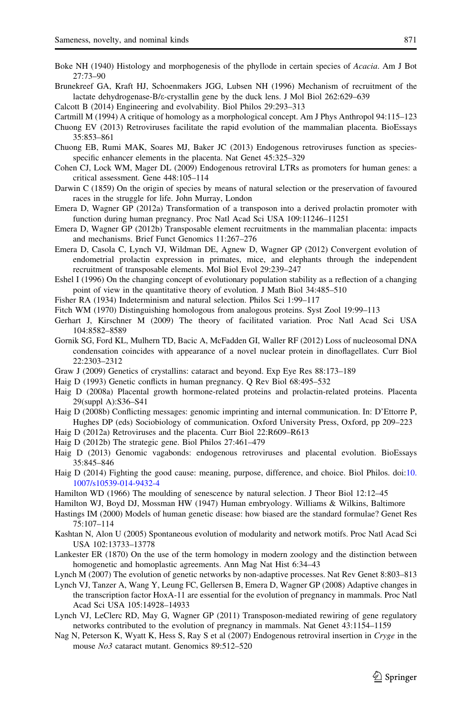- <span id="page-14-0"></span>Boke NH (1940) Histology and morphogenesis of the phyllode in certain species of Acacia. Am J Bot  $27.73 - 90$
- Brunekreef GA, Kraft HJ, Schoenmakers JGG, Lubsen NH (1996) Mechanism of recruitment of the lactate dehydrogenase-B/e-crystallin gene by the duck lens. J Mol Biol 262:629–639

Calcott B (2014) Engineering and evolvability. Biol Philos 29:293–313

Cartmill M (1994) A critique of homology as a morphological concept. Am J Phys Anthropol 94:115–123

- Chuong EV (2013) Retroviruses facilitate the rapid evolution of the mammalian placenta. BioEssays 35:853–861
- Chuong EB, Rumi MAK, Soares MJ, Baker JC (2013) Endogenous retroviruses function as speciesspecific enhancer elements in the placenta. Nat Genet 45:325–329
- Cohen CJ, Lock WM, Mager DL (2009) Endogenous retroviral LTRs as promoters for human genes: a critical assessment. Gene 448:105–114
- Darwin C (1859) On the origin of species by means of natural selection or the preservation of favoured races in the struggle for life. John Murray, London
- Emera D, Wagner GP (2012a) Transformation of a transposon into a derived prolactin promoter with function during human pregnancy. Proc Natl Acad Sci USA 109:11246–11251
- Emera D, Wagner GP (2012b) Transposable element recruitments in the mammalian placenta: impacts and mechanisms. Brief Funct Genomics 11:267–276
- Emera D, Casola C, Lynch VJ, Wildman DE, Agnew D, Wagner GP (2012) Convergent evolution of endometrial prolactin expression in primates, mice, and elephants through the independent recruitment of transposable elements. Mol Biol Evol 29:239–247
- Eshel I (1996) On the changing concept of evolutionary population stability as a reflection of a changing point of view in the quantitative theory of evolution. J Math Biol 34:485–510
- Fisher RA (1934) Indeterminism and natural selection. Philos Sci 1:99–117
- Fitch WM (1970) Distinguishing homologous from analogous proteins. Syst Zool 19:99–113

Gerhart J, Kirschner M (2009) The theory of facilitated variation. Proc Natl Acad Sci USA 104:8582–8589

- Gornik SG, Ford KL, Mulhern TD, Bacic A, McFadden GI, Waller RF (2012) Loss of nucleosomal DNA condensation coincides with appearance of a novel nuclear protein in dinoflagellates. Curr Biol 22:2303–2312
- Graw J (2009) Genetics of crystallins: cataract and beyond. Exp Eye Res 88:173–189
- Haig D (1993) Genetic conflicts in human pregnancy. Q Rev Biol 68:495–532
- Haig D (2008a) Placental growth hormone-related proteins and prolactin-related proteins. Placenta 29(suppl A):S36–S41
- Haig D (2008b) Conflicting messages: genomic imprinting and internal communication. In: D'Ettorre P, Hughes DP (eds) Sociobiology of communication. Oxford University Press, Oxford, pp 209–223
- Haig D (2012a) Retroviruses and the placenta. Curr Biol 22:R609–R613
- Haig D (2012b) The strategic gene. Biol Philos 27:461–479
- Haig D (2013) Genomic vagabonds: endogenous retroviruses and placental evolution. BioEssays 35:845–846
- Haig D (2014) Fighting the good cause: meaning, purpose, difference, and choice. Biol Philos. doi[:10.](http://dx.doi.org/10.1007/s10539-014-9432-4) [1007/s10539-014-9432-4](http://dx.doi.org/10.1007/s10539-014-9432-4)
- Hamilton WD (1966) The moulding of senescence by natural selection. J Theor Biol 12:12–45
- Hamilton WJ, Boyd DJ, Mossman HW (1947) Human embryology. Williams & Wilkins, Baltimore Hastings IM (2000) Models of human genetic disease: how biased are the standard formulae? Genet Res 75:107–114
- Kashtan N, Alon U (2005) Spontaneous evolution of modularity and network motifs. Proc Natl Acad Sci USA 102:13733–13778
- Lankester ER (1870) On the use of the term homology in modern zoology and the distinction between homogenetic and homoplastic agreements. Ann Mag Nat Hist 6:34–43
- Lynch M (2007) The evolution of genetic networks by non-adaptive processes. Nat Rev Genet 8:803–813
- Lynch VJ, Tanzer A, Wang Y, Leung FC, Gellersen B, Emera D, Wagner GP (2008) Adaptive changes in the transcription factor HoxA-11 are essential for the evolution of pregnancy in mammals. Proc Natl Acad Sci USA 105:14928–14933
- Lynch VJ, LeClerc RD, May G, Wagner GP (2011) Transposon-mediated rewiring of gene regulatory networks contributed to the evolution of pregnancy in mammals. Nat Genet 43:1154–1159
- Nag N, Peterson K, Wyatt K, Hess S, Ray S et al (2007) Endogenous retroviral insertion in Cryge in the mouse No3 cataract mutant. Genomics 89:512–520